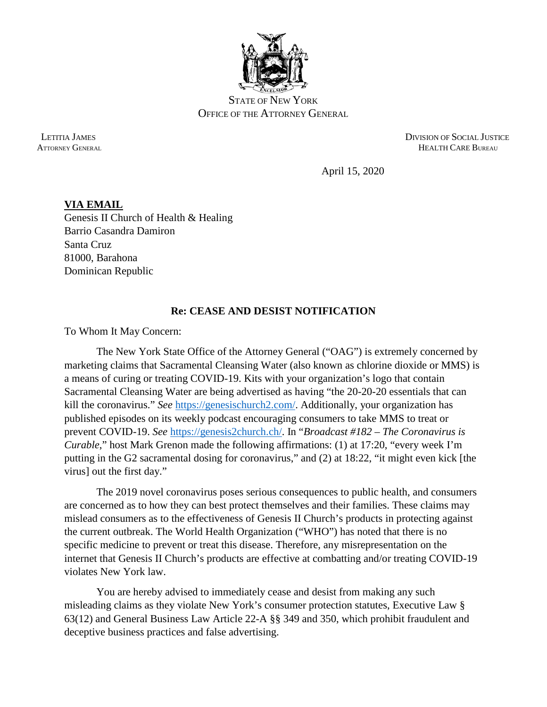

STATE OF NEW YORK OFFICE OF THE ATTORNEY GENERAL

 LETITIA JAMES DIVISION OF SOCIAL JUSTICE ATTORNEY GENERAL **HEALTH CARE BUREAU** 

April 15, 2020

## **VIA EMAIL** Genesis II Church of Health & Healing Barrio Casandra Damiron Santa Cruz 81000, Barahona Dominican Republic

## **Re: CEASE AND DESIST NOTIFICATION**

To Whom It May Concern:

The New York State Office of the Attorney General ("OAG") is extremely concerned by marketing claims that Sacramental Cleansing Water (also known as chlorine dioxide or MMS) is a means of curing or treating COVID-19. Kits with your organization's logo that contain Sacramental Cleansing Water are being advertised as having "the 20-20-20 essentials that can kill the coronavirus." *See* [https://genesischurch2.com/.](https://genesischurch2.com/) Additionally, your organization has published episodes on its weekly podcast encouraging consumers to take MMS to treat or prevent COVID-19. *See* [https://genesis2church.ch/.](https://genesis2church.ch/) In "*Broadcast #182 – The Coronavirus is Curable*," host Mark Grenon made the following affirmations: (1) at 17:20, "every week I'm putting in the G2 sacramental dosing for coronavirus," and (2) at 18:22, "it might even kick [the virus] out the first day."

The 2019 novel coronavirus poses serious consequences to public health, and consumers are concerned as to how they can best protect themselves and their families. These claims may mislead consumers as to the effectiveness of Genesis II Church's products in protecting against the current outbreak. The World Health Organization ("WHO") has noted that there is no specific medicine to prevent or treat this disease. Therefore, any misrepresentation on the internet that Genesis II Church's products are effective at combatting and/or treating COVID-19 violates New York law.

You are hereby advised to immediately cease and desist from making any such misleading claims as they violate New York's consumer protection statutes, Executive Law § 63(12) and General Business Law Article 22-A §§ 349 and 350, which prohibit fraudulent and deceptive business practices and false advertising.